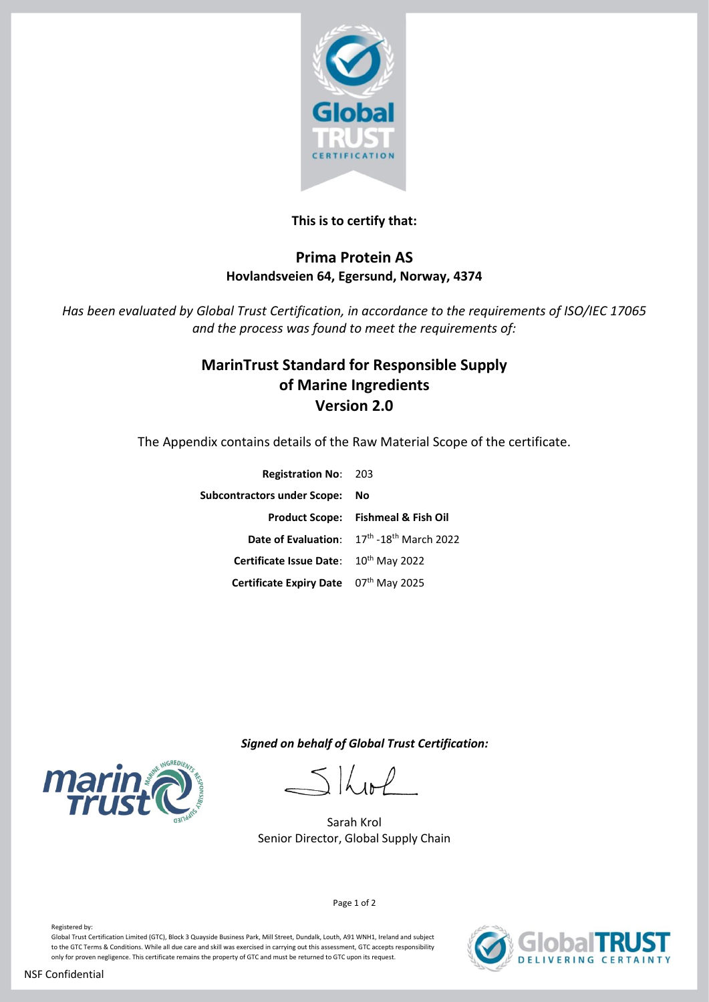

## **This is to certify that:**

## **Prima Protein AS Hovlandsveien 64, Egersund, Norway, 4374**

*Has been evaluated by Global Trust Certification, in accordance to the requirements of ISO/IEC 17065 and the process was found to meet the requirements of:*

# **MarinTrust Standard for Responsible Supply of Marine Ingredients Version 2.0**

The Appendix contains details of the Raw Material Scope of the certificate.

| <b>Registration No: 203</b>           |                                               |
|---------------------------------------|-----------------------------------------------|
| <b>Subcontractors under Scope:</b>    | Νo                                            |
|                                       | <b>Product Scope: Fishmeal &amp; Fish Oil</b> |
|                                       | Date of Evaluation: 17th -18th March 2022     |
| Certificate Issue Date: 10th May 2022 |                                               |
| Certificate Expiry Date 07th May 2025 |                                               |
|                                       |                                               |

 *Signed on behalf of Global Trust Certification:*

 $516$ 

Sarah Krol Senior Director, Global Supply Chain

Page 1 of 2



**VERING CERTAINTY** 

Registered by:

Global Trust Certification Limited (GTC), Block 3 Quayside Business Park, Mill Street, Dundalk, Louth, A91 WNH1, Ireland and subject to the GTC Terms & Conditions. While all due care and skill was exercised in carrying out this assessment, GTC accepts responsibility only for proven negligence. This certificate remains the property of GTC and must be returned to GTC upon its request.